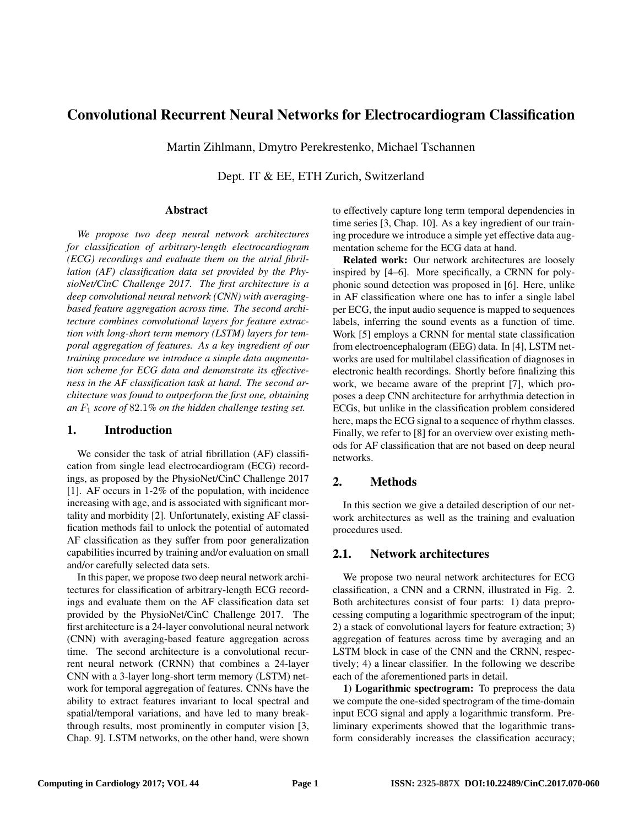# Convolutional Recurrent Neural Networks for Electrocardiogram Classification

Martin Zihlmann, Dmytro Perekrestenko, Michael Tschannen

Dept. IT & EE, ETH Zurich, Switzerland

#### Abstract

*We propose two deep neural network architectures for classification of arbitrary-length electrocardiogram (ECG) recordings and evaluate them on the atrial fibrillation (AF) classification data set provided by the PhysioNet/CinC Challenge 2017. The first architecture is a deep convolutional neural network (CNN) with averagingbased feature aggregation across time. The second architecture combines convolutional layers for feature extraction with long-short term memory (LSTM) layers for temporal aggregation of features. As a key ingredient of our training procedure we introduce a simple data augmentation scheme for ECG data and demonstrate its effectiveness in the AF classification task at hand. The second architecture was found to outperform the first one, obtaining an* F<sup>1</sup> *score of* 82.1*% on the hidden challenge testing set.*

## 1. Introduction

We consider the task of atrial fibrillation (AF) classification from single lead electrocardiogram (ECG) recordings, as proposed by the PhysioNet/CinC Challenge 2017 [1]. AF occurs in 1-2% of the population, with incidence increasing with age, and is associated with significant mortality and morbidity [2]. Unfortunately, existing AF classification methods fail to unlock the potential of automated AF classification as they suffer from poor generalization capabilities incurred by training and/or evaluation on small and/or carefully selected data sets.

In this paper, we propose two deep neural network architectures for classification of arbitrary-length ECG recordings and evaluate them on the AF classification data set provided by the PhysioNet/CinC Challenge 2017. The first architecture is a 24-layer convolutional neural network (CNN) with averaging-based feature aggregation across time. The second architecture is a convolutional recurrent neural network (CRNN) that combines a 24-layer CNN with a 3-layer long-short term memory (LSTM) network for temporal aggregation of features. CNNs have the ability to extract features invariant to local spectral and spatial/temporal variations, and have led to many breakthrough results, most prominently in computer vision [3, Chap. 9]. LSTM networks, on the other hand, were shown to effectively capture long term temporal dependencies in time series [3, Chap. 10]. As a key ingredient of our training procedure we introduce a simple yet effective data augmentation scheme for the ECG data at hand.

Related work: Our network architectures are loosely inspired by [4–6]. More specifically, a CRNN for polyphonic sound detection was proposed in [6]. Here, unlike in AF classification where one has to infer a single label per ECG, the input audio sequence is mapped to sequences labels, inferring the sound events as a function of time. Work [5] employs a CRNN for mental state classification from electroencephalogram (EEG) data. In [4], LSTM networks are used for multilabel classification of diagnoses in electronic health recordings. Shortly before finalizing this work, we became aware of the preprint [7], which proposes a deep CNN architecture for arrhythmia detection in ECGs, but unlike in the classification problem considered here, maps the ECG signal to a sequence of rhythm classes. Finally, we refer to [8] for an overview over existing methods for AF classification that are not based on deep neural networks.

## 2. Methods

In this section we give a detailed description of our network architectures as well as the training and evaluation procedures used.

## 2.1. Network architectures

We propose two neural network architectures for ECG classification, a CNN and a CRNN, illustrated in Fig. 2. Both architectures consist of four parts: 1) data preprocessing computing a logarithmic spectrogram of the input; 2) a stack of convolutional layers for feature extraction; 3) aggregation of features across time by averaging and an LSTM block in case of the CNN and the CRNN, respectively; 4) a linear classifier. In the following we describe each of the aforementioned parts in detail.

1) Logarithmic spectrogram: To preprocess the data we compute the one-sided spectrogram of the time-domain input ECG signal and apply a logarithmic transform. Preliminary experiments showed that the logarithmic transform considerably increases the classification accuracy;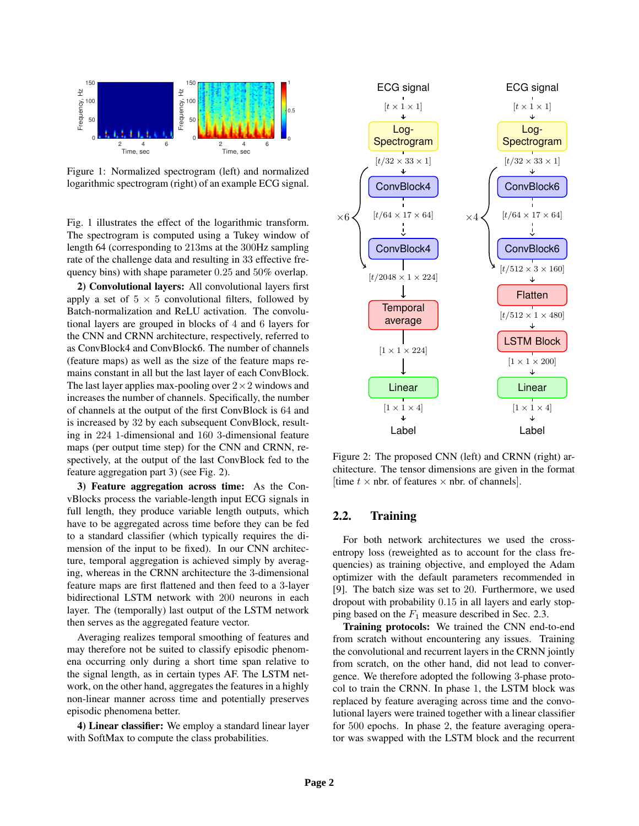

Figure 1: Normalized spectrogram (left) and normalized logarithmic spectrogram (right) of an example ECG signal.

Fig. 1 illustrates the effect of the logarithmic transform. The spectrogram is computed using a Tukey window of length 64 (corresponding to 213ms at the 300Hz sampling rate of the challenge data and resulting in 33 effective frequency bins) with shape parameter 0.25 and 50% overlap.

2) Convolutional layers: All convolutional layers first apply a set of  $5 \times 5$  convolutional filters, followed by Batch-normalization and ReLU activation. The convolutional layers are grouped in blocks of 4 and 6 layers for the CNN and CRNN architecture, respectively, referred to as ConvBlock4 and ConvBlock6. The number of channels (feature maps) as well as the size of the feature maps remains constant in all but the last layer of each ConvBlock. The last layer applies max-pooling over  $2 \times 2$  windows and increases the number of channels. Specifically, the number of channels at the output of the first ConvBlock is 64 and is increased by 32 by each subsequent ConvBlock, resulting in 224 1-dimensional and 160 3-dimensional feature maps (per output time step) for the CNN and CRNN, respectively, at the output of the last ConvBlock fed to the feature aggregation part 3) (see Fig. 2).

3) Feature aggregation across time: As the ConvBlocks process the variable-length input ECG signals in full length, they produce variable length outputs, which have to be aggregated across time before they can be fed to a standard classifier (which typically requires the dimension of the input to be fixed). In our CNN architecture, temporal aggregation is achieved simply by averaging, whereas in the CRNN architecture the 3-dimensional feature maps are first flattened and then feed to a 3-layer bidirectional LSTM network with 200 neurons in each layer. The (temporally) last output of the LSTM network then serves as the aggregated feature vector.

Averaging realizes temporal smoothing of features and may therefore not be suited to classify episodic phenomena occurring only during a short time span relative to the signal length, as in certain types AF. The LSTM network, on the other hand, aggregates the features in a highly non-linear manner across time and potentially preserves episodic phenomena better.

4) Linear classifier: We employ a standard linear layer with SoftMax to compute the class probabilities.



Figure 2: The proposed CNN (left) and CRNN (right) architecture. The tensor dimensions are given in the format [time  $t \times$  nbr. of features  $\times$  nbr. of channels].

## 2.2. Training

For both network architectures we used the crossentropy loss (reweighted as to account for the class frequencies) as training objective, and employed the Adam optimizer with the default parameters recommended in [9]. The batch size was set to 20. Furthermore, we used dropout with probability 0.15 in all layers and early stopping based on the  $F_1$  measure described in Sec. 2.3.

Training protocols: We trained the CNN end-to-end from scratch without encountering any issues. Training the convolutional and recurrent layers in the CRNN jointly from scratch, on the other hand, did not lead to convergence. We therefore adopted the following 3-phase protocol to train the CRNN. In phase 1, the LSTM block was replaced by feature averaging across time and the convolutional layers were trained together with a linear classifier for 500 epochs. In phase 2, the feature averaging operator was swapped with the LSTM block and the recurrent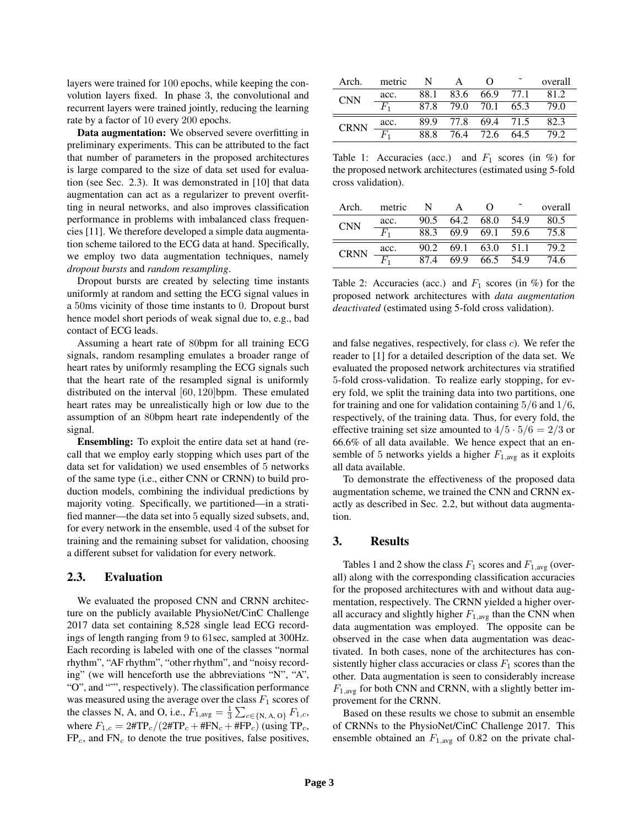layers were trained for 100 epochs, while keeping the convolution layers fixed. In phase 3, the convolutional and recurrent layers were trained jointly, reducing the learning rate by a factor of 10 every 200 epochs.

Data augmentation: We observed severe overfitting in preliminary experiments. This can be attributed to the fact that number of parameters in the proposed architectures is large compared to the size of data set used for evaluation (see Sec. 2.3). It was demonstrated in [10] that data augmentation can act as a regularizer to prevent overfitting in neural networks, and also improves classification performance in problems with imbalanced class frequencies [11]. We therefore developed a simple data augmentation scheme tailored to the ECG data at hand. Specifically, we employ two data augmentation techniques, namely *dropout bursts* and *random resampling*.

Dropout bursts are created by selecting time instants uniformly at random and setting the ECG signal values in a 50ms vicinity of those time instants to 0. Dropout burst hence model short periods of weak signal due to, e.g., bad contact of ECG leads.

Assuming a heart rate of 80bpm for all training ECG signals, random resampling emulates a broader range of heart rates by uniformly resampling the ECG signals such that the heart rate of the resampled signal is uniformly distributed on the interval [60, 120]bpm. These emulated heart rates may be unrealistically high or low due to the assumption of an 80bpm heart rate independently of the signal.

Ensembling: To exploit the entire data set at hand (recall that we employ early stopping which uses part of the data set for validation) we used ensembles of 5 networks of the same type (i.e., either CNN or CRNN) to build production models, combining the individual predictions by majority voting. Specifically, we partitioned—in a stratified manner—the data set into 5 equally sized subsets, and, for every network in the ensemble, used 4 of the subset for training and the remaining subset for validation, choosing a different subset for validation for every network.

#### 2.3. Evaluation

We evaluated the proposed CNN and CRNN architecture on the publicly available PhysioNet/CinC Challenge 2017 data set containing 8,528 single lead ECG recordings of length ranging from 9 to 61sec, sampled at 300Hz. Each recording is labeled with one of the classes "normal rhythm", "AF rhythm", "other rhythm", and "noisy recording" (we will henceforth use the abbreviations "N", "A", "O", and "˜", respectively). The classification performance was measured using the average over the class  $F_1$  scores of the classes N, A, and O, i.e.,  $F_{1,\text{avg}} = \frac{1}{3} \sum_{c \in \{N, A, O\}} F_{1,c}$ , where  $F_{1,c} = 2\# \text{TP}_c/(2\# \text{TP}_c + \# \text{FN}_c + \# \text{FP}_c)$  (using TP<sub>c</sub>,  $FP<sub>c</sub>$ , and  $FN<sub>c</sub>$  to denote the true positives, false positives,

| Arch.       | metric          | N.   | $\mathbf{A}$        |  | overall |
|-------------|-----------------|------|---------------------|--|---------|
| <b>CNN</b>  | acc.            | 88.1 | 83.6 66.9 77.1      |  | 81.2    |
|             | $F_{1}$         |      | 87.8 79.0 70.1 65.3 |  | 79.0    |
| <b>CRNN</b> | $\frac{acc.}{}$ |      | 89.9 77.8 69.4 71.5 |  | -82.3   |
|             | $\bar{F}_1$     | 88.8 | 76.4 72.6 64.5      |  | 79.2    |

Table 1: Accuracies (acc.) and  $F_1$  scores (in %) for the proposed network architectures (estimated using 5-fold cross validation).

| Arch.       | metric  | N    |           | $\left( \right)$ |      | overall |
|-------------|---------|------|-----------|------------------|------|---------|
| <b>CNN</b>  | acc.    | 90.5 | 64.2      | 68.0             | 54.9 | 80.5    |
|             | $F_{1}$ |      | 88.3 69.9 | 69.1             | 59.6 | 75.8    |
| <b>CRNN</b> | acc.    | 90.2 |           | 69.1 63.0 51.1   |      | 79.2    |
|             |         | 874  | 69.9      | 66.5             | 54.9 | 74.6    |

Table 2: Accuracies (acc.) and  $F_1$  scores (in %) for the proposed network architectures with *data augmentation deactivated* (estimated using 5-fold cross validation).

and false negatives, respectively, for class c). We refer the reader to [1] for a detailed description of the data set. We evaluated the proposed network architectures via stratified 5-fold cross-validation. To realize early stopping, for every fold, we split the training data into two partitions, one for training and one for validation containing  $5/6$  and  $1/6$ , respectively, of the training data. Thus, for every fold, the effective training set size amounted to  $4/5 \cdot 5/6 = 2/3$  or 66.6% of all data available. We hence expect that an ensemble of 5 networks yields a higher  $F_{1,\text{avg}}$  as it exploits all data available.

To demonstrate the effectiveness of the proposed data augmentation scheme, we trained the CNN and CRNN exactly as described in Sec. 2.2, but without data augmentation.

## 3. Results

Tables 1 and 2 show the class  $F_1$  scores and  $F_{1,\text{avg}}$  (overall) along with the corresponding classification accuracies for the proposed architectures with and without data augmentation, respectively. The CRNN yielded a higher overall accuracy and slightly higher  $F_{1,avg}$  than the CNN when data augmentation was employed. The opposite can be observed in the case when data augmentation was deactivated. In both cases, none of the architectures has consistently higher class accuracies or class  $F_1$  scores than the other. Data augmentation is seen to considerably increase  $F_{1,avg}$  for both CNN and CRNN, with a slightly better improvement for the CRNN.

Based on these results we chose to submit an ensemble of CRNNs to the PhysioNet/CinC Challenge 2017. This ensemble obtained an  $F_{1,\text{avg}}$  of 0.82 on the private chal